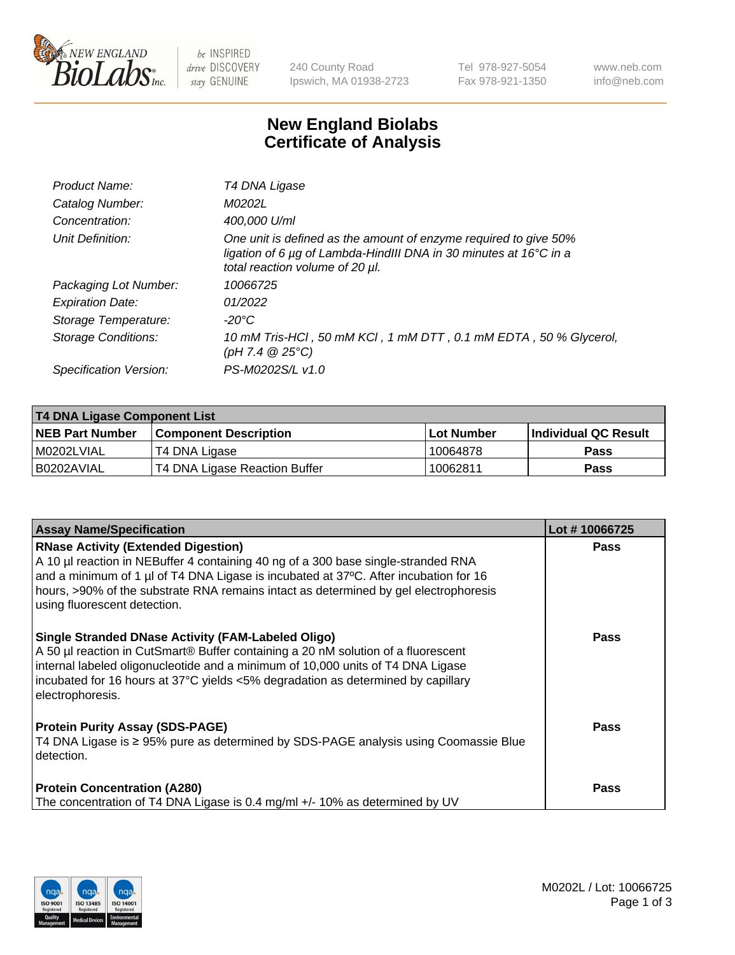

 $be$  INSPIRED drive DISCOVERY stay GENUINE

240 County Road Ipswich, MA 01938-2723 Tel 978-927-5054 Fax 978-921-1350 www.neb.com info@neb.com

## **New England Biolabs Certificate of Analysis**

| Product Name:           | T4 DNA Ligase                                                                                                                                                            |
|-------------------------|--------------------------------------------------------------------------------------------------------------------------------------------------------------------------|
| Catalog Number:         | M0202L                                                                                                                                                                   |
| Concentration:          | 400,000 U/ml                                                                                                                                                             |
| Unit Definition:        | One unit is defined as the amount of enzyme required to give 50%<br>ligation of 6 µg of Lambda-HindIII DNA in 30 minutes at 16°C in a<br>total reaction volume of 20 µl. |
| Packaging Lot Number:   | 10066725                                                                                                                                                                 |
| <b>Expiration Date:</b> | 01/2022                                                                                                                                                                  |
| Storage Temperature:    | -20°C                                                                                                                                                                    |
| Storage Conditions:     | 10 mM Tris-HCl, 50 mM KCl, 1 mM DTT, 0.1 mM EDTA, 50 % Glycerol,<br>(pH 7.4 $@25°C$ )                                                                                    |
| Specification Version:  | PS-M0202S/L v1.0                                                                                                                                                         |

| T4 DNA Ligase Component List |                               |              |                             |  |
|------------------------------|-------------------------------|--------------|-----------------------------|--|
| <b>NEB Part Number</b>       | <b>Component Description</b>  | l Lot Number | <b>Individual QC Result</b> |  |
| M0202LVIAL                   | T4 DNA Ligase                 | 10064878     | <b>Pass</b>                 |  |
| I B0202AVIAL                 | T4 DNA Ligase Reaction Buffer | 10062811     | <b>Pass</b>                 |  |

| <b>Assay Name/Specification</b>                                                                                                                                                                                                                                                                                                                 | Lot #10066725 |
|-------------------------------------------------------------------------------------------------------------------------------------------------------------------------------------------------------------------------------------------------------------------------------------------------------------------------------------------------|---------------|
| <b>RNase Activity (Extended Digestion)</b><br>A 10 µl reaction in NEBuffer 4 containing 40 ng of a 300 base single-stranded RNA<br>and a minimum of 1 µl of T4 DNA Ligase is incubated at 37°C. After incubation for 16<br>hours, >90% of the substrate RNA remains intact as determined by gel electrophoresis<br>using fluorescent detection. | <b>Pass</b>   |
| <b>Single Stranded DNase Activity (FAM-Labeled Oligo)</b><br>A 50 µl reaction in CutSmart® Buffer containing a 20 nM solution of a fluorescent<br>internal labeled oligonucleotide and a minimum of 10,000 units of T4 DNA Ligase<br>incubated for 16 hours at 37°C yields <5% degradation as determined by capillary<br>electrophoresis.       | <b>Pass</b>   |
| <b>Protein Purity Assay (SDS-PAGE)</b><br>T4 DNA Ligase is ≥ 95% pure as determined by SDS-PAGE analysis using Coomassie Blue<br>detection.                                                                                                                                                                                                     | Pass          |
| <b>Protein Concentration (A280)</b><br>The concentration of T4 DNA Ligase is 0.4 mg/ml +/- 10% as determined by UV                                                                                                                                                                                                                              | <b>Pass</b>   |

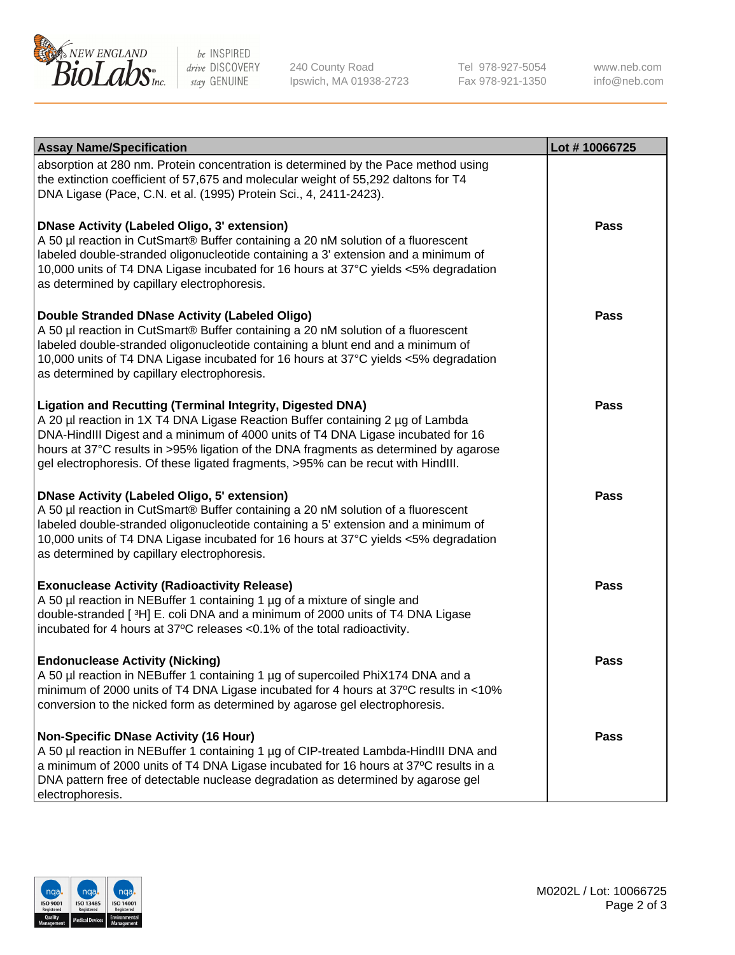

be INSPIRED drive DISCOVERY stay GENUINE

240 County Road Ipswich, MA 01938-2723 Tel 978-927-5054 Fax 978-921-1350

www.neb.com info@neb.com

| <b>Assay Name/Specification</b>                                                                                                                                                                                                                                                                                                                                                                                    | Lot #10066725 |
|--------------------------------------------------------------------------------------------------------------------------------------------------------------------------------------------------------------------------------------------------------------------------------------------------------------------------------------------------------------------------------------------------------------------|---------------|
| absorption at 280 nm. Protein concentration is determined by the Pace method using<br>the extinction coefficient of 57,675 and molecular weight of 55,292 daltons for T4<br>DNA Ligase (Pace, C.N. et al. (1995) Protein Sci., 4, 2411-2423).                                                                                                                                                                      |               |
| <b>DNase Activity (Labeled Oligo, 3' extension)</b><br>A 50 µl reaction in CutSmart® Buffer containing a 20 nM solution of a fluorescent<br>labeled double-stranded oligonucleotide containing a 3' extension and a minimum of<br>10,000 units of T4 DNA Ligase incubated for 16 hours at 37°C yields <5% degradation<br>as determined by capillary electrophoresis.                                               | <b>Pass</b>   |
| Double Stranded DNase Activity (Labeled Oligo)<br>A 50 µl reaction in CutSmart® Buffer containing a 20 nM solution of a fluorescent<br>labeled double-stranded oligonucleotide containing a blunt end and a minimum of<br>10,000 units of T4 DNA Ligase incubated for 16 hours at 37°C yields <5% degradation<br>as determined by capillary electrophoresis.                                                       | <b>Pass</b>   |
| <b>Ligation and Recutting (Terminal Integrity, Digested DNA)</b><br>A 20 µl reaction in 1X T4 DNA Ligase Reaction Buffer containing 2 µg of Lambda<br>DNA-HindIII Digest and a minimum of 4000 units of T4 DNA Ligase incubated for 16<br>hours at 37°C results in >95% ligation of the DNA fragments as determined by agarose<br>gel electrophoresis. Of these ligated fragments, >95% can be recut with HindIII. | <b>Pass</b>   |
| <b>DNase Activity (Labeled Oligo, 5' extension)</b><br>A 50 µl reaction in CutSmart® Buffer containing a 20 nM solution of a fluorescent<br>labeled double-stranded oligonucleotide containing a 5' extension and a minimum of<br>10,000 units of T4 DNA Ligase incubated for 16 hours at 37°C yields <5% degradation<br>as determined by capillary electrophoresis.                                               | <b>Pass</b>   |
| <b>Exonuclease Activity (Radioactivity Release)</b><br>A 50 µl reaction in NEBuffer 1 containing 1 µg of a mixture of single and<br>double-stranded [3H] E. coli DNA and a minimum of 2000 units of T4 DNA Ligase<br>incubated for 4 hours at 37°C releases <0.1% of the total radioactivity.                                                                                                                      | <b>Pass</b>   |
| <b>Endonuclease Activity (Nicking)</b><br>A 50 µl reaction in NEBuffer 1 containing 1 µg of supercoiled PhiX174 DNA and a<br>minimum of 2000 units of T4 DNA Ligase incubated for 4 hours at 37°C results in <10%<br>conversion to the nicked form as determined by agarose gel electrophoresis.                                                                                                                   | <b>Pass</b>   |
| <b>Non-Specific DNase Activity (16 Hour)</b><br>A 50 µl reaction in NEBuffer 1 containing 1 µg of CIP-treated Lambda-HindIII DNA and<br>a minimum of 2000 units of T4 DNA Ligase incubated for 16 hours at 37°C results in a<br>DNA pattern free of detectable nuclease degradation as determined by agarose gel<br>electrophoresis.                                                                               | <b>Pass</b>   |